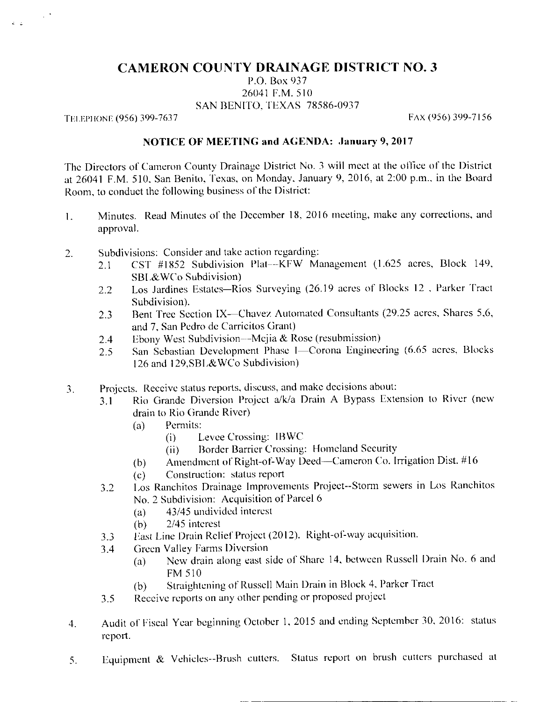## **CAMERON COUNTY DRAINAGE DISTRICT NO. 3**

P.O. Box 937 26041 F.M. 510 SAN BENITO, TEXAS 78586-0937

TELEPHONE (956) 399-7637

 $\sim 10^4$ 

FAX (956) 399-7156

## NOTICE OF MEETING and AGENDA: January 9, 2017

The Directors of Cameron County Drainage District No. 3 will meet at the office of the District at 26041 F.M. 510, San Benito, Texas, on Monday, January 9, 2016, at 2:00 p.m., in the Board Room, to conduct the following business of the District:

- Minutes. Read Minutes of the December 18, 2016 meeting, make any corrections, and  $\mathbf{1}$ . approval.
- Subdivisions: Consider and take action regarding:  $\overline{2}$ .
	- CST #1852 Subdivision Plat--KFW Management (1.625 acres, Block 149,  $2.1$ SBL&WCo Subdivision)
	- Los Jardines Estates-Rios Surveying (26.19 acres of Blocks 12, Parker Tract  $2.2^{\circ}$ Subdivision).
	- Bent Tree Section IX-Chavez Automated Consultants (29.25 acres, Shares 5,6,  $2.3$ and 7, San Pedro de Carricitos Grant)
	- Ebony West Subdivision—Mejia & Rose (resubmission)  $2.4$
	- San Sebastian Development Phase I-Corona Engineering (6.65 acres, Blocks  $2.5$ 126 and 129, SBL&WCo Subdivision)
- Projects. Receive status reports, discuss, and make decisions about:  $\overline{3}$ .
	- Rio Grande Diversion Project a/k/a Drain A Bypass Extension to River (new  $3.1$ drain to Rio Grande River)
		- $(a)$ Permits:
			- Levee Crossing: IBWC  $(i)$
			- Border Barrier Crossing: Homeland Security  $(ii)$
		- Amendment of Right-of-Way Deed-Cameron Co. Irrigation Dist. #16  $(b)$
		- Construction: status report  $(c)$
	- Los Ranchitos Drainage Improvements Project--Storm sewers in Los Ranchitos  $3.2$ No. 2 Subdivision: Acquisition of Parcel 6
		- 43/45 undivided interest  $(a)$
		- 2/45 interest  $(b)$
	- East Line Drain Relief Project (2012). Right-of-way acquisition.  $3.3$
	- **Green Valley Farms Diversion**  $3.4$ 
		- New drain along east side of Share 14, between Russell Drain No. 6 and  $(a)$ **FM 510**
		- Straightening of Russell Main Drain in Block 4, Parker Tract  $(b)$
	- Receive reports on any other pending or proposed project  $3.5$
- Audit of Fiscal Year beginning October 1, 2015 and ending September 30, 2016: status  $4.$ report.
- Equipment & Vehicles--Brush cutters. Status report on brush cutters purchased at 5.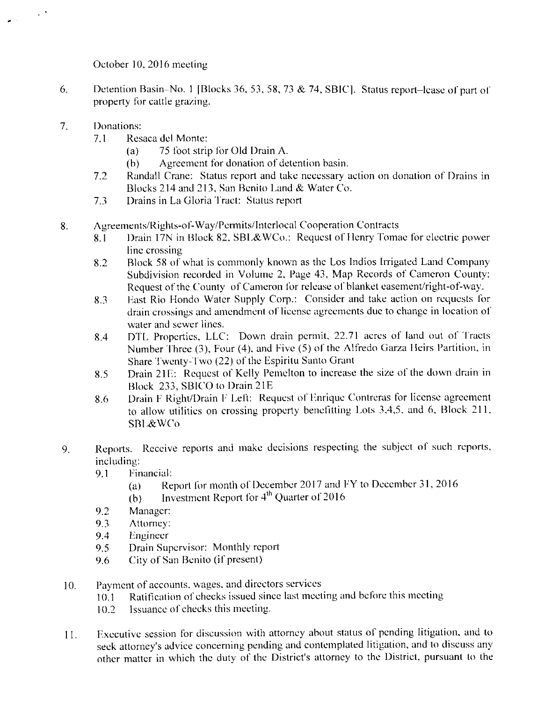October 10, 2016 meeting

- 6. Detention Basin–No. 1 [Blocks 36, 53, 58, 73 & 74, SBIC]. Status report–lease of part of property for cattle grazing.
- $7.$ Donations:
	- $7.1$ Resaca del Monte:
		- $(a)$ 75 foot strip for Old Drain A.
		- Agreement for donation of detention basin.  $(b)$
	- $7.2$ Randall Crane: Status report and take necessary action on donation of Drains in Blocks 214 and 213, San Benito Land & Water Co.
	- $7.3$ Drains in La Gloria Tract: Status report
- Agreements/Rights-of-Way/Permits/Interlocal Cooperation Contracts 8.
	- Drain 17N in Block 82, SBL&WCo.: Request of Henry Tomae for electric power  $8.1$ line crossing
	- Block 58 of what is commonly known as the Los Indios Irrigated Land Company 8.2 Subdivision recorded in Volume 2, Page 43, Map Records of Cameron County: Request of the County of Cameron for release of blanket easement/right-of-way.
	- East Rio Hondo Water Supply Corp.: Consider and take action on requests for 8.3 drain crossings and amendment of license agreements due to change in location of water and sewer lines.
	- DTL Properties, LLC: Down drain permit, 22.71 acres of land out of Tracts 8.4 Number Three (3), Four (4), and Five (5) of the Alfredo Garza Heirs Partition, in Share Twenty-Two (22) of the Espiritu Santo Grant
	- Drain 21E: Request of Kelly Pemelton to increase the size of the down drain in 8.5 Block 233, SBICO to Drain 21E
	- Drain F Right/Drain F Left: Request of Enrique Contreras for license agreement 8.6 to allow utilities on crossing property benefitting Lots 3,4,5, and 6, Block 211, SBL&WCo
- Reports. Receive reports and make decisions respecting the subject of such reports,  $9<sub>1</sub>$ including:
	- 9.1 Financial:
		- Report for month of December 2017 and FY to December 31, 2016  $(a)$
		- Investment Report for  $4<sup>th</sup>$  Quarter of 2016  $(b)$
	- 9.2 Manager:
	- 9.3 Attorney:
	- $9.4$ Engineer
	- Drain Supervisor: Monthly report 9.5
	- City of San Benito (if present) 9.6
- Payment of accounts, wages, and directors services  $10.$ 
	- Ratification of checks issued since last meeting and before this meeting  $10.1$
	- Issuance of checks this meeting. 10.2
- Executive session for discussion with attorney about status of pending litigation, and to 11. seek attorney's advice concerning pending and contemplated litigation, and to discuss any other matter in which the duty of the District's attorney to the District, pursuant to the